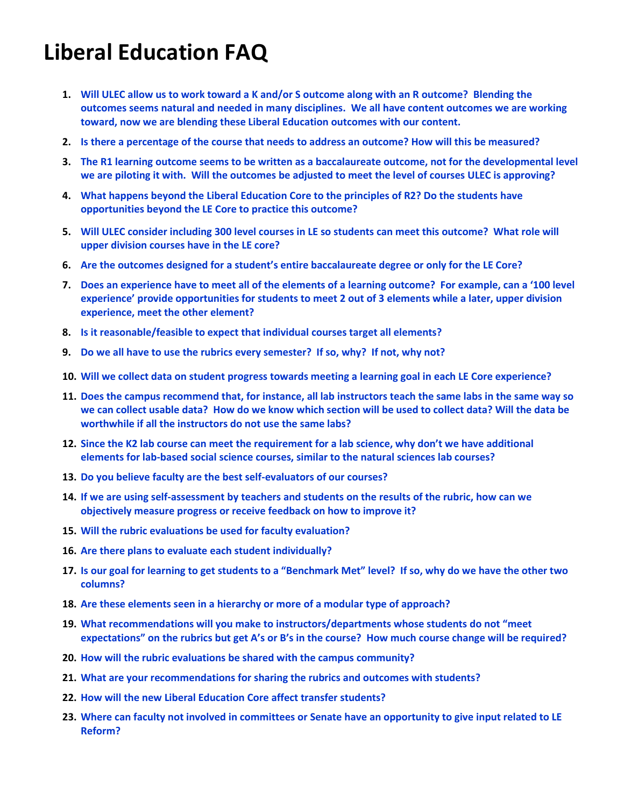# <span id="page-0-1"></span>**Liberal Education FAQ**

- **1. [Will ULEC allow us to work toward a K and/or S outcome along with an R outcome? Blending the](#page-0-0)  [outcomes seems natural and needed in many disciplines. We all have content outcomes we are working](#page-0-0)  [toward, now we are blending these Liberal](#page-0-0) Education outcomes with our content.**
- **2. [Is there a percentage of the course that needs to address an outcome? How will this be measured?](#page-1-0)**
- **3. [The R1 learning outcome seems to be written as a baccalaureate outcome, not for the developmental level](#page-1-1)  [we are piloting it with. Will the outcomes be adjusted to meet the level of courses ULEC is approving?](#page-1-1)**
- **4. [What happens beyond the Liberal Education Core to the principles of R2? Do the students have](#page-1-2)  [opportunities beyond the LE Core to practice this outcome?](#page-1-2)**
- **5. [Will ULEC consider including 300 level courses in LE so students can meet this outcome? What role will](#page-2-0)  [upper division courses have in the LE core?](#page-2-0)**
- **6. [Are the outcomes designed for a student's entire baccalaureate degree or only for the LE Core?](#page-2-1)**
- **7.** [Does an experience have to meet all of the elements of a](#page-2-2) learning outcome? For example, can a '100 level **[experience' provide opportunities for students to meet 2 out of 3 elements while a later, upper division](#page-2-2)  [experience, meet the other element?](#page-2-2)**
- **8. [Is it reasonable/feasible to expect that individual courses target all elements?](#page-2-3)**
- **9. [Do we all have to use the rubrics every semester? If so, why? If not, why not?](#page-3-0)**
- **10. [Will we collect data on student progress towards meeting a learning goal in each LE Core experience?](#page-3-1)**
- **11. [Does the campus recommend that, for instance, all lab instructors teach the same labs in the same way so](#page-3-0)  [we can collect usable data? How do we know which section will be used to collect data? Will the data be](#page-3-0)  [worthwhile if all the instructors do not use the same labs?](#page-3-0)**
- **12. [Since the K2 lab course can meet the requirement for a lab science, why don't we have additional](#page-3-2)  elements for lab-based social science [courses, similar to the natural sciences lab courses?](#page-3-2)**
- **13. [Do you believe faculty are the best self-evaluators of our courses?](#page-3-3)**
- **14. [If we are using self-assessment by teachers and students on the results of the rubric, how can we](#page-4-0)  [objectively measure progress or receive feedback on how to improve it?](#page-4-0)**
- **15. [Will the rubric evaluations be used for faculty evaluation?](#page-4-1)**
- **16. [Are there plans to evaluate each student individually?](#page-4-0)**
- **17. [Is our goal for learning to get students to a "Benchmark Met" level? If so, why do we have the other two](#page-4-2)  [columns?](#page-4-2)**
- **18. [Are these elements seen in a hierarchy or more](#page-4-3) of a modular type of approach?**
- **19. [What recommendations will you make to instructors/departments whose students do not "meet](#page-4-4)  [expectations" on the rubrics but get A's or B's in the course? How much course change will be requir](#page-4-4)ed?**
- **20. [How will the rubric evaluations be shared with the campus community?](#page-5-0)**
- **21. [What are your recommendations for sharing the rubrics and outcomes with students?](#page-5-1)**
- **22. [How will the new Liberal Education Core affect transfer students?](#page-5-0)**
- <span id="page-0-0"></span>**23. [Where can faculty not involved in committees or Senate have an opportunity to give input related to LE](#page-5-2)  [Reform?](#page-5-2)**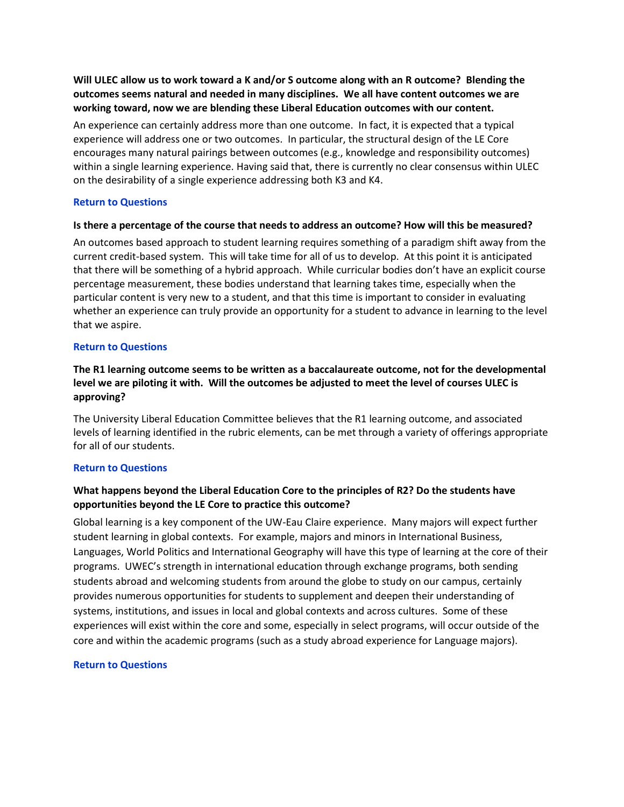<span id="page-1-1"></span>**Will ULEC allow us to work toward a K and/or S outcome along with an R outcome? Blending the outcomes seems natural and needed in many disciplines. We all have content outcomes we are working toward, now we are blending these Liberal Education outcomes with our content.**

An experience can certainly address more than one outcome. In fact, it is expected that a typical experience will address one or two outcomes. In particular, the structural design of the LE Core encourages many natural pairings between outcomes (e.g., knowledge and responsibility outcomes) within a single learning experience. Having said that, there is currently no clear consensus within ULEC on the desirability of a single experience addressing both K3 and K4.

# **[Return to Questions](#page-0-1)**

# <span id="page-1-0"></span>**Is there a percentage of the course that needs to address an outcome? How will this be measured?**

An outcomes based approach to student learning requires something of a paradigm shift away from the current credit-based system. This will take time for all of us to develop. At this point it is anticipated that there will be something of a hybrid approach. While curricular bodies don't have an explicit course percentage measurement, these bodies understand that learning takes time, especially when the particular content is very new to a student, and that this time is important to consider in evaluating whether an experience can truly provide an opportunity for a student to advance in learning to the level that we aspire.

# **[Return to Questions](#page-0-1)**

# **The R1 learning outcome seems to be written as a baccalaureate outcome, not for the developmental level we are piloting it with. Will the outcomes be adjusted to meet the level of courses ULEC is approving?**

The University Liberal Education Committee believes that the R1 learning outcome, and associated levels of learning identified in the rubric elements, can be met through a variety of offerings appropriate for all of our students.

# **[Return to Questions](#page-0-1)**

# <span id="page-1-2"></span>**What happens beyond the Liberal Education Core to the principles of R2? Do the students have opportunities beyond the LE Core to practice this outcome?**

Global learning is a key component of the UW-Eau Claire experience. Many majors will expect further student learning in global contexts. For example, majors and minors in International Business, Languages, World Politics and International Geography will have this type of learning at the core of their programs. UWEC's strength in international education through exchange programs, both sending students abroad and welcoming students from around the globe to study on our campus, certainly provides numerous opportunities for students to supplement and deepen their understanding of systems, institutions, and issues in local and global contexts and across cultures. Some of these experiences will exist within the core and some, especially in select programs, will occur outside of the core and within the academic programs (such as a study abroad experience for Language majors).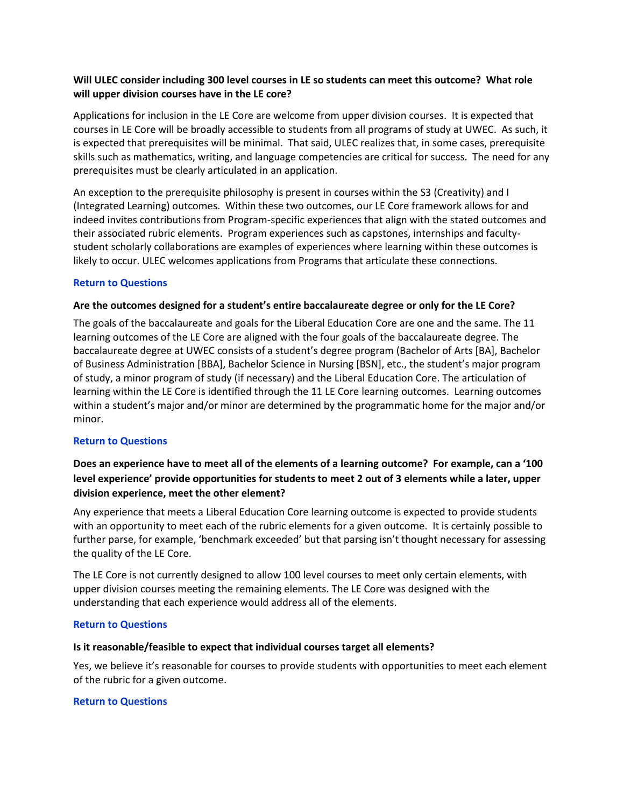# <span id="page-2-0"></span>**Will ULEC consider including 300 level courses in LE so students can meet this outcome? What role will upper division courses have in the LE core?**

Applications for inclusion in the LE Core are welcome from upper division courses. It is expected that courses in LE Core will be broadly accessible to students from all programs of study at UWEC. As such, it is expected that prerequisites will be minimal. That said, ULEC realizes that, in some cases, prerequisite skills such as mathematics, writing, and language competencies are critical for success. The need for any prerequisites must be clearly articulated in an application.

An exception to the prerequisite philosophy is present in courses within the S3 (Creativity) and I (Integrated Learning) outcomes. Within these two outcomes, our LE Core framework allows for and indeed invites contributions from Program-specific experiences that align with the stated outcomes and their associated rubric elements. Program experiences such as capstones, internships and facultystudent scholarly collaborations are examples of experiences where learning within these outcomes is likely to occur. ULEC welcomes applications from Programs that articulate these connections.

# **[Return to Questions](#page-0-1)**

# <span id="page-2-1"></span>**Are the outcomes designed for a student's entire baccalaureate degree or only for the LE Core?**

The goals of the baccalaureate and goals for the Liberal Education Core are one and the same. The 11 learning outcomes of the LE Core are aligned with the four goals of the baccalaureate degree. The baccalaureate degree at UWEC consists of a student's degree program (Bachelor of Arts [BA], Bachelor of Business Administration [BBA], Bachelor Science in Nursing [BSN], etc., the student's major program of study, a minor program of study (if necessary) and the Liberal Education Core. The articulation of learning within the LE Core is identified through the 11 LE Core learning outcomes. Learning outcomes within a student's major and/or minor are determined by the programmatic home for the major and/or minor.

#### **[Return to Questions](#page-0-1)**

# <span id="page-2-2"></span>**Does an experience have to meet all of the elements of a learning outcome? For example, can a '100 level experience' provide opportunities for students to meet 2 out of 3 elements while a later, upper division experience, meet the other element?**

Any experience that meets a Liberal Education Core learning outcome is expected to provide students with an opportunity to meet each of the rubric elements for a given outcome. It is certainly possible to further parse, for example, 'benchmark exceeded' but that parsing isn't thought necessary for assessing the quality of the LE Core.

The LE Core is not currently designed to allow 100 level courses to meet only certain elements, with upper division courses meeting the remaining elements. The LE Core was designed with the understanding that each experience would address all of the elements.

#### **[Return to Questions](#page-0-1)**

#### <span id="page-2-3"></span>**Is it reasonable/feasible to expect that individual courses target all elements?**

Yes, we believe it's reasonable for courses to provide students with opportunities to meet each element of the rubric for a given outcome.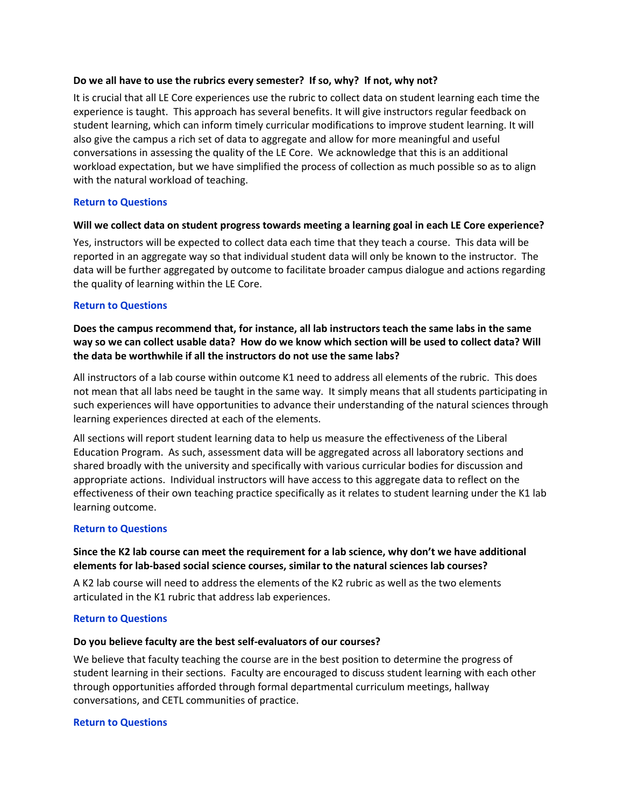# <span id="page-3-0"></span>**Do we all have to use the rubrics every semester? If so, why? If not, why not?**

It is crucial that all LE Core experiences use the rubric to collect data on student learning each time the experience is taught. This approach has several benefits. It will give instructors regular feedback on student learning, which can inform timely curricular modifications to improve student learning. It will also give the campus a rich set of data to aggregate and allow for more meaningful and useful conversations in assessing the quality of the LE Core. We acknowledge that this is an additional workload expectation, but we have simplified the process of collection as much possible so as to align with the natural workload of teaching.

# **[Return to Questions](#page-0-1)**

# <span id="page-3-1"></span>**Will we collect data on student progress towards meeting a learning goal in each LE Core experience?**

Yes, instructors will be expected to collect data each time that they teach a course. This data will be reported in an aggregate way so that individual student data will only be known to the instructor. The data will be further aggregated by outcome to facilitate broader campus dialogue and actions regarding the quality of learning within the LE Core.

# **[Return to Questions](#page-0-1)**

**Does the campus recommend that, for instance, all lab instructors teach the same labs in the same way so we can collect usable data? How do we know which section will be used to collect data? Will the data be worthwhile if all the instructors do not use the same labs?**

All instructors of a lab course within outcome K1 need to address all elements of the rubric. This does not mean that all labs need be taught in the same way. It simply means that all students participating in such experiences will have opportunities to advance their understanding of the natural sciences through learning experiences directed at each of the elements.

All sections will report student learning data to help us measure the effectiveness of the Liberal Education Program. As such, assessment data will be aggregated across all laboratory sections and shared broadly with the university and specifically with various curricular bodies for discussion and appropriate actions. Individual instructors will have access to this aggregate data to reflect on the effectiveness of their own teaching practice specifically as it relates to student learning under the K1 lab learning outcome.

# **[Return to Questions](#page-0-1)**

# <span id="page-3-2"></span>**Since the K2 lab course can meet the requirement for a lab science, why don't we have additional elements for lab-based social science courses, similar to the natural sciences lab courses?**

A K2 lab course will need to address the elements of the K2 rubric as well as the two elements articulated in the K1 rubric that address lab experiences.

#### **[Return to Questions](#page-0-1)**

#### <span id="page-3-3"></span>**Do you believe faculty are the best self-evaluators of our courses?**

We believe that faculty teaching the course are in the best position to determine the progress of student learning in their sections. Faculty are encouraged to discuss student learning with each other through opportunities afforded through formal departmental curriculum meetings, hallway conversations, and CETL communities of practice.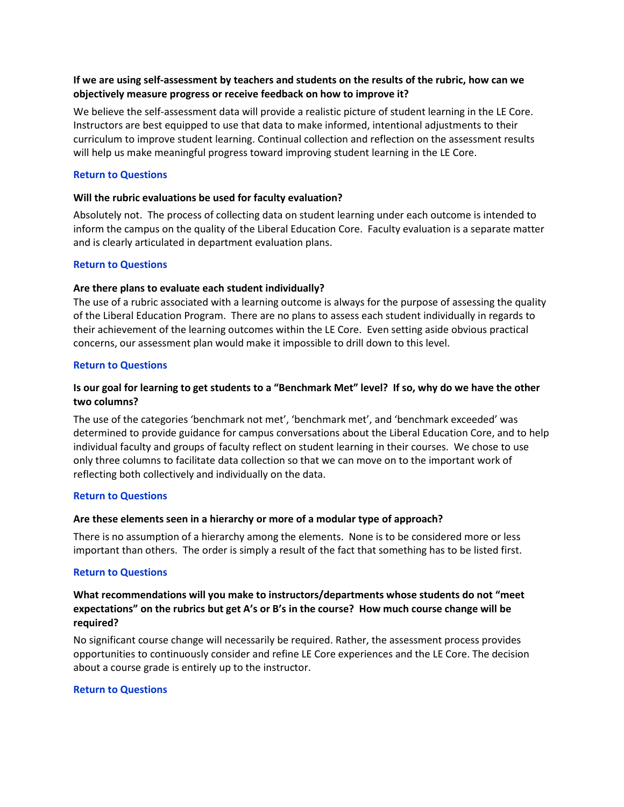# <span id="page-4-0"></span>**If we are using self-assessment by teachers and students on the results of the rubric, how can we objectively measure progress or receive feedback on how to improve it?**

We believe the self-assessment data will provide a realistic picture of student learning in the LE Core. Instructors are best equipped to use that data to make informed, intentional adjustments to their curriculum to improve student learning. Continual collection and reflection on the assessment results will help us make meaningful progress toward improving student learning in the LE Core.

# **[Return to Questions](#page-0-1)**

# <span id="page-4-1"></span>**Will the rubric evaluations be used for faculty evaluation?**

Absolutely not. The process of collecting data on student learning under each outcome is intended to inform the campus on the quality of the Liberal Education Core. Faculty evaluation is a separate matter and is clearly articulated in department evaluation plans.

# **[Return to Questions](#page-0-1)**

# **Are there plans to evaluate each student individually?**

The use of a rubric associated with a learning outcome is always for the purpose of assessing the quality of the Liberal Education Program. There are no plans to assess each student individually in regards to their achievement of the learning outcomes within the LE Core. Even setting aside obvious practical concerns, our assessment plan would make it impossible to drill down to this level.

# **[Return to Questions](#page-0-1)**

# <span id="page-4-2"></span>**Is our goal for learning to get students to a "Benchmark Met" level? If so, why do we have the other two columns?**

The use of the categories 'benchmark not met', 'benchmark met', and 'benchmark exceeded' was determined to provide guidance for campus conversations about the Liberal Education Core, and to help individual faculty and groups of faculty reflect on student learning in their courses. We chose to use only three columns to facilitate data collection so that we can move on to the important work of reflecting both collectively and individually on the data.

#### **[Return to Questions](#page-0-1)**

# <span id="page-4-3"></span>**Are these elements seen in a hierarchy or more of a modular type of approach?**

There is no assumption of a hierarchy among the elements. None is to be considered more or less important than others. The order is simply a result of the fact that something has to be listed first.

#### **[Return to Questions](#page-0-1)**

# <span id="page-4-4"></span>**What recommendations will you make to instructors/departments whose students do not "meet expectations" on the rubrics but get A's or B's in the course? How much course change will be required?**

No significant course change will necessarily be required. Rather, the assessment process provides opportunities to continuously consider and refine LE Core experiences and the LE Core. The decision about a course grade is entirely up to the instructor.